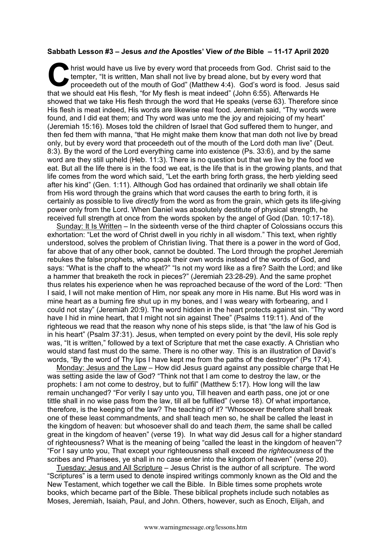## **Sabbath Lesson #3 – Jesus** *and the* **Apostles' View** *of the* **Bible – 11-17 April 2020**

hrist would have us live by every word that proceeds from God. Christ said to the tempter, "It is written, Man shall not live by bread alone, but by every word that proceedeth out of the mouth of God" (Matthew 4:4). God's word is food. Jesus said hrist would have us live by every word that proceeds from God. Christ said to tempter, "It is written, Man shall not live by bread alone, but by every word that proceedeth out of the mouth of God" (Matthew 4:4). God's word showed that we take His flesh through the word that He speaks (verse 63). Therefore since His flesh is meat indeed, His words are likewise real food. Jeremiah said, "Thy words were found, and I did eat them; and Thy word was unto me the joy and rejoicing of my heart" (Jeremiah 15:16). Moses told the children of Israel that God suffered them to hunger, and then fed them with manna, "that He might make them know that man doth not live by bread only, but by every word that proceedeth out of the mouth of the Lord doth man live" (Deut. 8:3). By the word of the Lord everything came into existence (Ps. 33:6), and by the same word are they still upheld (Heb. 11:3). There is no question but that we live by the food we eat. But all the life there is in the food we eat, is the life that is in the growing plants, and that life comes from the word which said, "Let the earth bring forth grass, the herb yielding seed after his kind" (Gen. 1:11). Although God has ordained that ordinarily we shall obtain life from His word through the grains which that word causes the earth to bring forth, it is certainly as possible to live *directly* from the word as from the grain, which gets its life-giving power only from the Lord. When Daniel was absolutely destitute of physical strength, he received full strength at once from the words spoken by the angel of God (Dan. 10:17-18).

Sunday: It Is Written – In the sixteenth verse of the third chapter of Colossians occurs this exhortation: "Let the word of Christ dwell in you richly in all wisdom." This text, when rightly understood, solves the problem of Christian living. That there is a power in the word of God, far above that of any other book, cannot be doubted. The Lord through the prophet Jeremiah rebukes the false prophets, who speak their own words instead of the words of God, and says: "What is the chaff to the wheat?" "Is not my word like as a fire? Saith the Lord; and like a hammer that breaketh the rock in pieces?" (Jeremiah 23:28-29). And the same prophet thus relates his experience when he was reproached because of the word of the Lord: "Then I said, I will not make mention of Him, nor speak any more in His name. But His word was in mine heart as a burning fire shut up in my bones, and I was weary with forbearing, and I could not stay" (Jeremiah 20:9). The word hidden in the heart protects against sin. "Thy word have I hid in mine heart, that I might not sin against Thee" (Psalms 119:11). And of the righteous we read that the reason why none of his steps slide, is that "the law of his God is in his heart" (Psalm 37:31). Jesus, when tempted on every point by the devil, His sole reply was, "It is written," followed by a text of Scripture that met the case exactly. A Christian who would stand fast must do the same. There is no other way. This is an illustration of David's words, "By the word of Thy lips I have kept me from the paths of the destroyer" (Ps 17:4).

Monday: Jesus and the Law – How did Jesus guard against any possible charge that He was setting aside the law of God? "Think not that I am come to destroy the law, or the prophets: I am not come to destroy, but to fulfil" (Matthew 5:17). How long will the law remain unchanged? "For verily I say unto you, Till heaven and earth pass, one jot or one tittle shall in no wise pass from the law, till all be fulfilled" (verse 18). Of what importance, therefore, is the keeping of the law? The teaching of it? "Whosoever therefore shall break one of these least commandments, and shall teach men so, he shall be called the least in the kingdom of heaven: but whosoever shall do and teach *them*, the same shall be called great in the kingdom of heaven" (verse 19). In what way did Jesus call for a higher standard of righteousness? What is the meaning of being "called the least in the kingdom of heaven"? "For I say unto you, That except your righteousness shall exceed *the righteousness* of the scribes and Pharisees, ye shall in no case enter into the kingdom of heaven" (verse 20).

Tuesday: Jesus and All Scripture – Jesus Christ is the author of all scripture. The word "Scriptures" is a term used to denote inspired writings commonly known as the Old and the New Testament, which together we call the Bible. In Bible times some prophets wrote books, which became part of the Bible. These biblical prophets include such notables as Moses, Jeremiah, Isaiah, Paul, and John. Others, however, such as Enoch, Elijah, and